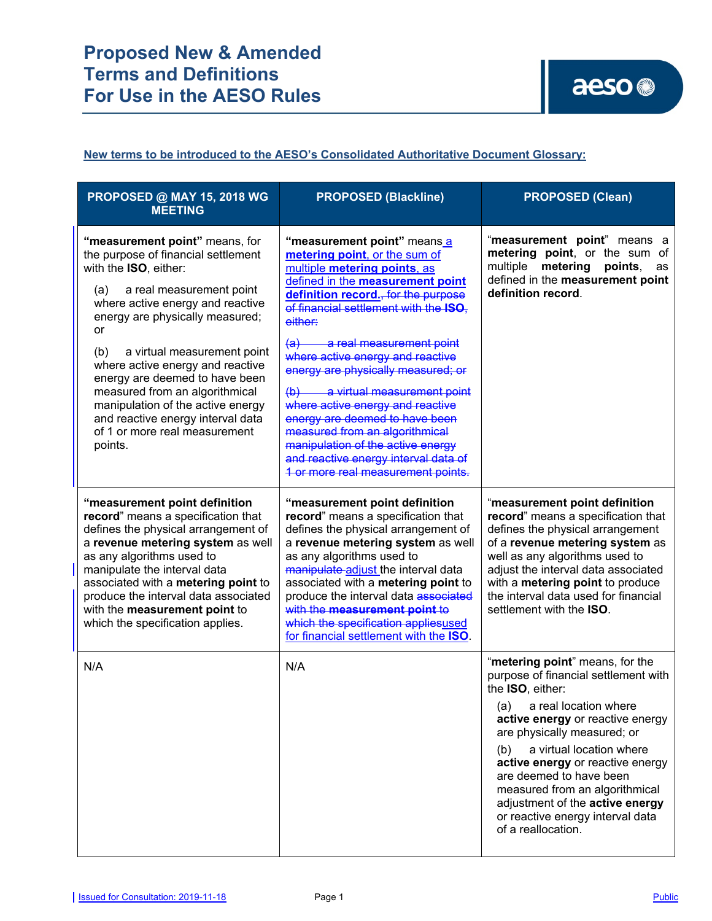## **New terms to be introduced to the AESO's Consolidated Authoritative Document Glossary:**

| <b>PROPOSED @ MAY 15, 2018 WG</b><br><b>MEETING</b>                                                                                                                                                                                                                                                                                                              | <b>PROPOSED (Blackline)</b>                                                                                                                                                                                                                                                                                                                                                                                          | <b>PROPOSED (Clean)</b>                                                                                                                                                                                                                                                                                                                                                                                                         |
|------------------------------------------------------------------------------------------------------------------------------------------------------------------------------------------------------------------------------------------------------------------------------------------------------------------------------------------------------------------|----------------------------------------------------------------------------------------------------------------------------------------------------------------------------------------------------------------------------------------------------------------------------------------------------------------------------------------------------------------------------------------------------------------------|---------------------------------------------------------------------------------------------------------------------------------------------------------------------------------------------------------------------------------------------------------------------------------------------------------------------------------------------------------------------------------------------------------------------------------|
| "measurement point" means, for<br>the purpose of financial settlement<br>with the ISO, either:<br>a real measurement point<br>(a)<br>where active energy and reactive<br>energy are physically measured;<br>or                                                                                                                                                   | "measurement point" means a<br>metering point, or the sum of<br>multiple metering points, as<br>defined in the measurement point<br>definition record., for the purpose<br>of financial settlement with the ISO.<br>either:                                                                                                                                                                                          | "measurement point" means a<br>metering point, or the sum of<br>multiple<br>metering<br>points,<br>as<br>defined in the measurement point<br>definition record.                                                                                                                                                                                                                                                                 |
| a virtual measurement point<br>(b)<br>where active energy and reactive<br>energy are deemed to have been<br>measured from an algorithmical<br>manipulation of the active energy<br>and reactive energy interval data<br>of 1 or more real measurement<br>points.                                                                                                 | a real measurement point<br>$\left( a\right) -$<br>where active energy and reactive<br>energy are physically measured; or<br>(b) a virtual measurement point<br>where active energy and reactive<br>energy are deemed to have been<br>measured from an algorithmical<br>manipulation of the active energy<br>and reactive energy interval data of<br>1 or more real measurement points.                              |                                                                                                                                                                                                                                                                                                                                                                                                                                 |
| "measurement point definition<br>record" means a specification that<br>defines the physical arrangement of<br>a revenue metering system as well<br>as any algorithms used to<br>manipulate the interval data<br>associated with a metering point to<br>produce the interval data associated<br>with the measurement point to<br>which the specification applies. | "measurement point definition<br>record" means a specification that<br>defines the physical arrangement of<br>a revenue metering system as well<br>as any algorithms used to<br>manipulate adjust the interval data<br>associated with a metering point to<br>produce the interval data associated<br>with the measurement point to<br>which the specification appliesused<br>for financial settlement with the ISO. | "measurement point definition<br>record" means a specification that<br>defines the physical arrangement<br>of a revenue metering system as<br>well as any algorithms used to<br>adjust the interval data associated<br>with a metering point to produce<br>the interval data used for financial<br>settlement with the <b>ISO</b> .                                                                                             |
| N/A                                                                                                                                                                                                                                                                                                                                                              | N/A                                                                                                                                                                                                                                                                                                                                                                                                                  | "metering point" means, for the<br>purpose of financial settlement with<br>the ISO, either:<br>a real location where<br>(a)<br>active energy or reactive energy<br>are physically measured; or<br>a virtual location where<br>(b)<br>active energy or reactive energy<br>are deemed to have been<br>measured from an algorithmical<br>adjustment of the active energy<br>or reactive energy interval data<br>of a reallocation. |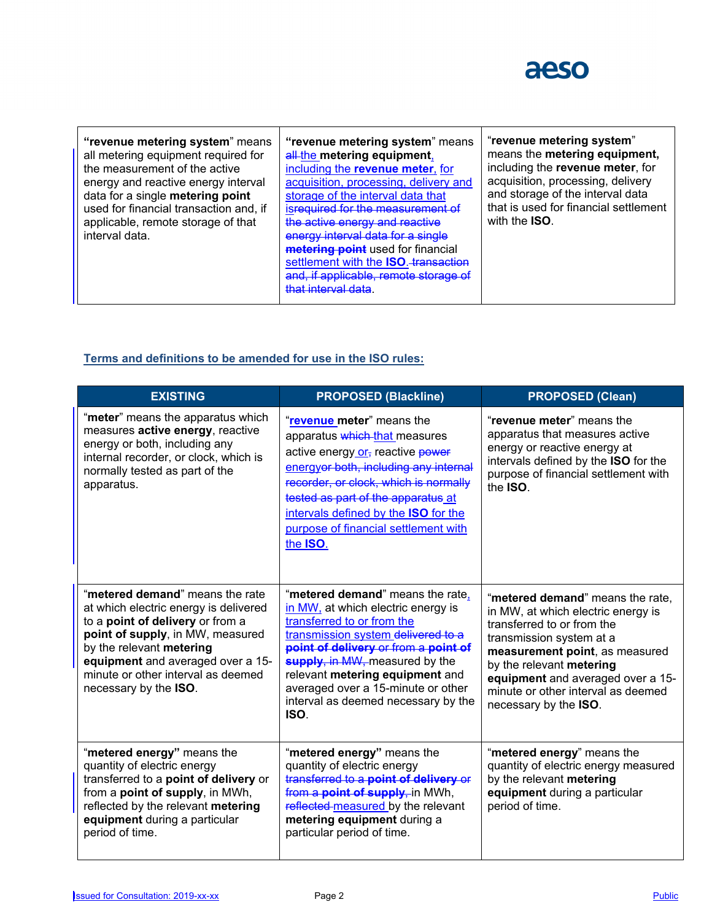

| "revenue metering system" means<br>all metering equipment required for<br>the measurement of the active<br>energy and reactive energy interval<br>data for a single metering point<br>used for financial transaction and, if<br>applicable, remote storage of that<br>interval data. | "revenue metering system" means<br>all-the metering equipment,<br>including the revenue meter, for<br>acquisition, processing, delivery and<br>storage of the interval data that<br>isrequired for the measurement of<br>the active energy and reactive<br>energy interval data for a single<br>metering point used for financial<br>settlement with the ISO. transaction<br>and, if applicable, remote storage of<br>that interval data | "revenue metering system"<br>means the metering equipment,<br>including the revenue meter, for<br>acquisition, processing, delivery<br>and storage of the interval data<br>that is used for financial settlement<br>with the <b>ISO</b> . |
|--------------------------------------------------------------------------------------------------------------------------------------------------------------------------------------------------------------------------------------------------------------------------------------|------------------------------------------------------------------------------------------------------------------------------------------------------------------------------------------------------------------------------------------------------------------------------------------------------------------------------------------------------------------------------------------------------------------------------------------|-------------------------------------------------------------------------------------------------------------------------------------------------------------------------------------------------------------------------------------------|
|--------------------------------------------------------------------------------------------------------------------------------------------------------------------------------------------------------------------------------------------------------------------------------------|------------------------------------------------------------------------------------------------------------------------------------------------------------------------------------------------------------------------------------------------------------------------------------------------------------------------------------------------------------------------------------------------------------------------------------------|-------------------------------------------------------------------------------------------------------------------------------------------------------------------------------------------------------------------------------------------|

## **Terms and definitions to be amended for use in the ISO rules:**

| <b>EXISTING</b>                                                                                                                                                                                                                                                                  | <b>PROPOSED (Blackline)</b>                                                                                                                                                                                                                                                                                                                  | <b>PROPOSED (Clean)</b>                                                                                                                                                                                                                                                                            |
|----------------------------------------------------------------------------------------------------------------------------------------------------------------------------------------------------------------------------------------------------------------------------------|----------------------------------------------------------------------------------------------------------------------------------------------------------------------------------------------------------------------------------------------------------------------------------------------------------------------------------------------|----------------------------------------------------------------------------------------------------------------------------------------------------------------------------------------------------------------------------------------------------------------------------------------------------|
| "meter" means the apparatus which<br>measures active energy, reactive<br>energy or both, including any<br>internal recorder, or clock, which is<br>normally tested as part of the<br>apparatus.                                                                                  | "revenue meter" means the<br>apparatus which that measures<br>active energy or, reactive power<br>energyor both, including any internal<br>recorder, or clock, which is normally<br>tested as part of the apparatus at<br>intervals defined by the ISO for the<br>purpose of financial settlement with<br>the ISO.                           | "revenue meter" means the<br>apparatus that measures active<br>energy or reactive energy at<br>intervals defined by the ISO for the<br>purpose of financial settlement with<br>the <b>ISO</b> .                                                                                                    |
| "metered demand" means the rate<br>at which electric energy is delivered<br>to a point of delivery or from a<br>point of supply, in MW, measured<br>by the relevant metering<br>equipment and averaged over a 15-<br>minute or other interval as deemed<br>necessary by the ISO. | "metered demand" means the rate,<br>in MW, at which electric energy is<br>transferred to or from the<br>transmission system delivered to a<br>point of delivery or from a point of<br>supply, in MW, measured by the<br>relevant metering equipment and<br>averaged over a 15-minute or other<br>interval as deemed necessary by the<br>ISO. | "metered demand" means the rate.<br>in MW, at which electric energy is<br>transferred to or from the<br>transmission system at a<br>measurement point, as measured<br>by the relevant metering<br>equipment and averaged over a 15-<br>minute or other interval as deemed<br>necessary by the ISO. |
| "metered energy" means the<br>quantity of electric energy<br>transferred to a point of delivery or<br>from a point of supply, in MWh,<br>reflected by the relevant metering<br>equipment during a particular<br>period of time.                                                  | "metered energy" means the<br>quantity of electric energy<br>transferred to a point of delivery or<br>from a point of supply, in MWh,<br>reflected-measured by the relevant<br>metering equipment during a<br>particular period of time.                                                                                                     | "metered energy" means the<br>quantity of electric energy measured<br>by the relevant metering<br>equipment during a particular<br>period of time.                                                                                                                                                 |

 $\overline{\phantom{a}}$